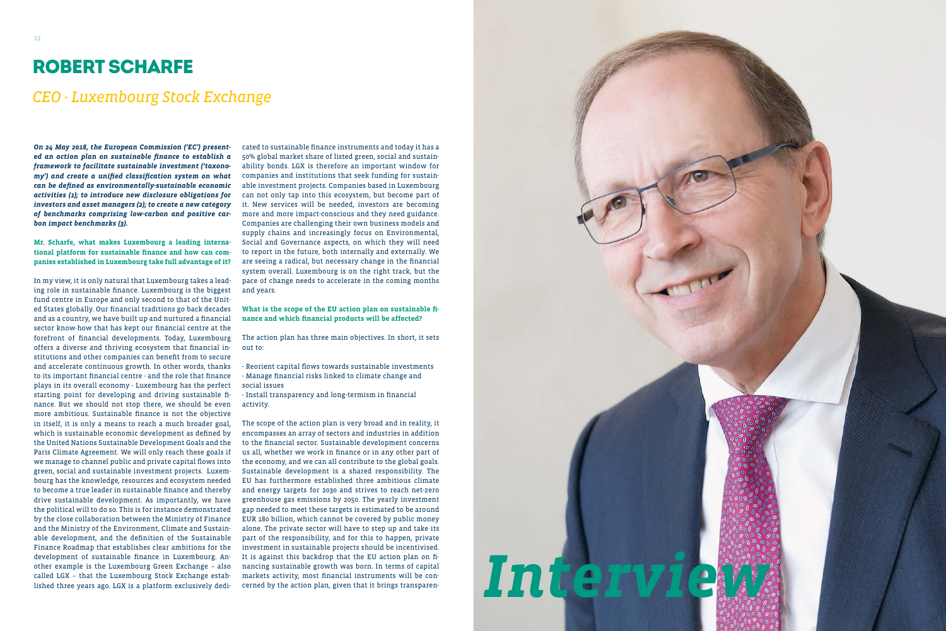*On 24 May 2018, the European Commission ('EC') presented an action plan on sustainable finance to establish a framework to facilitate sustainable investment ('taxonomy') and create a unified classification system on what can be defined as environmentally-sustainable economic activities (1); to introduce new disclosure obligations for investors and asset managers (2); to create a new category of benchmarks comprising low-carbon and positive carbon impact benchmarks (3).*

### **Mr. Scharfe, what makes Luxembourg a leading international platform for sustainable finance and how can companies established in Luxembourg take full advantage of it?**

In my view, it is only natural that Luxembourg takes a leading role in sustainable finance. Luxembourg is the biggest fund centre in Europe and only second to that of the United States globally. Our financial traditions go back decades and as a country, we have built up and nurtured a financial sector know-how that has kept our financial centre at the forefront of financial developments. Today, Luxembourg offers a diverse and thriving ecosystem that financial institutions and other companies can benefit from to secure and accelerate continuous growth. In other words, thanks to its important financial centre - and the role that finance plays in its overall economy - Luxembourg has the perfect starting point for developing and driving sustainable finance. But we should not stop there, we should be even more ambitious. Sustainable finance is not the objective in itself, it is only a means to reach a much broader goal, which is sustainable economic development as defined by the United Nations Sustainable Development Goals and the Paris Climate Agreement. We will only reach these goals if we manage to channel public and private capital flows into green, social and sustainable investment projects. Luxembourg has the knowledge, resources and ecosystem needed to become a true leader in sustainable finance and thereby drive sustainable development. As importantly, we have the political will to do so. This is for instance demonstrated by the close collaboration between the Ministry of Finance and the Ministry of the Environment, Climate and Sustainable development, and the definition of the Sustainable Finance Roadmap that establishes clear ambitions for the development of sustainable finance in Luxembourg. Another example is the Luxembourg Green Exchange – also called LGX – that the Luxembourg Stock Exchange established three years ago. LGX is a platform exclusively dedi-



cated to sustainable finance instruments and today it has a 50% global market share of listed green, social and sustainability bonds. LGX is therefore an important window for companies and institutions that seek funding for sustainable investment projects. Companies based in Luxembourg can not only tap into this ecosystem, but become part of it. New services will be needed, investors are becoming more and more impact-conscious and they need guidance. Companies are challenging their own business models and supply chains and increasingly focus on Environmental, Social and Governance aspects, on which they will need to report in the future, both internally and externally. We are seeing a radical, but necessary change in the financial system overall. Luxembourg is on the right track, but the pace of change needs to accelerate in the coming months and years.

#### **What is the scope of the EU action plan on sustainable finance and which financial products will be affected?**

The action plan has three main objectives. In short, it sets out to:

- Reorient capital flows towards sustainable investments - Manage financial risks linked to climate change and
- social issues
- Install transparency and long-termism in financial activity.

The scope of the action plan is very broad and in reality, it encompasses an array of sectors and industries in addition to the financial sector. Sustainable development concerns us all, whether we work in finance or in any other part of the economy, and we can all contribute to the global goals. Sustainable development is a shared responsibility. The EU has furthermore established three ambitious climate and energy targets for 2030 and strives to reach net-zero greenhouse gas emissions by 2050. The yearly investment gap needed to meet these targets is estimated to be around EUR 180 billion, which cannot be covered by public money alone. The private sector will have to step up and take its part of the responsibility, and for this to happen, private investment in sustainable projects should be incentivised. It is against this backdrop that the EU action plan on financing sustainable growth was born. In terms of capital markets activity, most financial instruments will be concerned by the action plan, given that it brings transparen-

## ROBERT SCHARFE

## *CEO - Luxembourg Stock Exchange*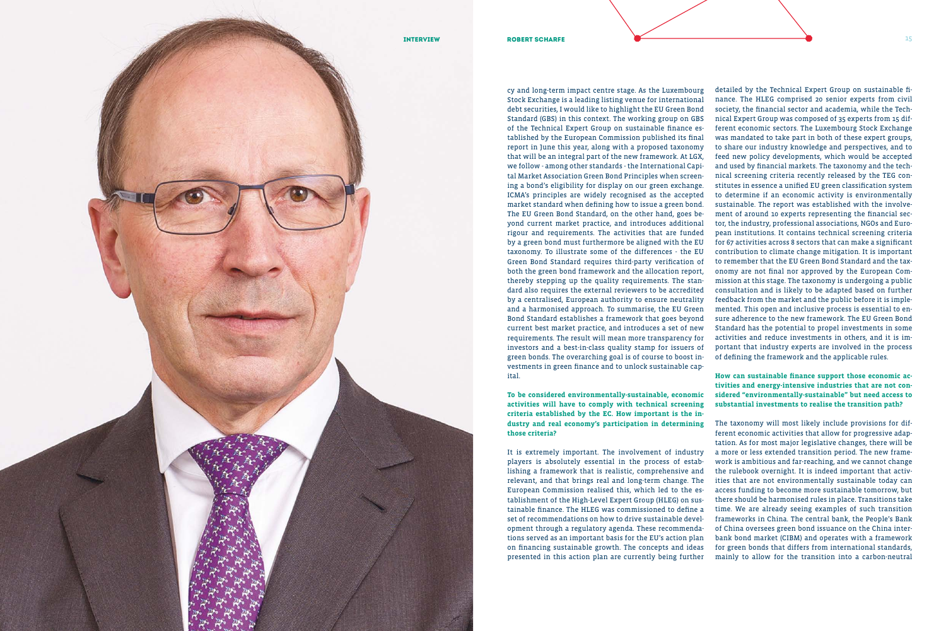**To be considered environmentally-sustainable, economic activities will have to comply with technical screening criteria established by the EC. How important is the in dustry and real economy's participation in determining those criteria?** 

cy and long-term impact centre stage. As the Luxembourg Stock Exchange is a leading listing venue for international debt securities, I would like to highlight the EU Green Bond Standard (GBS) in this context. The working group on GBS of the Technical Expert Group on sustainable finance es tablished by the European Commission published its final report in June this year, along with a proposed taxonomy that will be an integral part of the new framework. At LGX, we follow - among other standards - the International Capi tal Market Association Green Bond Principles when screen ing a bond's eligibility for display on our green exchange. ICMA's principles are widely recognised as the accepted market standard when defining how to issue a green bond. The EU Green Bond Standard, on the other hand, goes be yond current market practice, and introduces additional rigour and requirements. The activities that are funded by a green bond must furthermore be aligned with the EU taxonomy. To illustrate some of the differences - the EU Green Bond Standard requires third-party verification of both the green bond framework and the allocation report, thereby stepping up the quality requirements. The stan dard also requires the external reviewers to be accredited by a centralised, European authority to ensure neutrality and a harmonised approach. To summarise, the EU Green Bond Standard establishes a framework that goes beyond current best market practice, and introduces a set of new requirements. The result will mean more transparency for investors and a best-in-class quality stamp for issuers of green bonds. The overarching goal is of course to boost in vestments in green finance and to unlock sustainable cap ital. detailed by the Technical Expert Group on sustainable fi nance. The HLEG comprised 20 senior experts from civil society, the financial sector and academia, while the Tech nical Expert Group was composed of 35 experts from 15 dif ferent economic sectors. The Luxembourg Stock Exchange was mandated to take part in both of these expert groups, to share our industry knowledge and perspectives, and to feed new policy developments, which would be accepted and used by financial markets. The taxonomy and the tech nical screening criteria recently released by the TEG con stitutes in essence a unified EU green classification system to determine if an economic activity is environmentally sustainable. The report was established with the involve ment of around 10 experts representing the financial sec tor, the industry, professional associations, NGOs and Euro pean institutions. It contains technical screening criteria for 67 activities across 8 sectors that can make a significant contribution to climate change mitigation. It is important to remember that the EU Green Bond Standard and the tax onomy are not final nor approved by the European Com mission at this stage. The taxonomy is undergoing a public consultation and is likely to be adapted based on further feedback from the market and the public before it is imple mented. This open and inclusive process is essential to en sure adherence to the new framework. The EU Green Bond Standard has the potential to propel investments in some activities and reduce investments in others, and it is im portant that industry experts are involved in the process of defining the framework and the applicable rules.

It is extremely important. The involvement of industry players is absolutely essential in the process of estab lishing a framework that is realistic, comprehensive and relevant, and that brings real and long-term change. The European Commission realised this, which led to the es tablishment of the High-Level Expert Group (HLEG) on sus tainable finance. The HLEG was commissioned to define a set of recommendations on how to drive sustainable devel opment through a regulatory agenda. These recommenda tions served as an important basis for the EU's action plan on financing sustainable growth. The concepts and ideas presented in this action plan are currently being further



**How can sustainable finance support those economic ac tivities and energy-intensive industries that are not con sidered "environmentally-sustainable" but need access to substantial investments to realise the transition path?** 

The taxonomy will most likely include provisions for dif ferent economic activities that allow for progressive adap tation. As for most major legislative changes, there will be a more or less extended transition period. The new frame work is ambitious and far-reaching, and we cannot change the rulebook overnight. It is indeed important that activ ities that are not environmentally sustainable today can access funding to become more sustainable tomorrow, but there should be harmonised rules in place. Transitions take time. We are already seeing examples of such transition frameworks in China. The central bank, the People's Bank of China oversees green bond issuance on the China inter bank bond market (CIBM) and operates with a framework for green bonds that differs from international standards, mainly to allow for the transition into a carbon-neutral